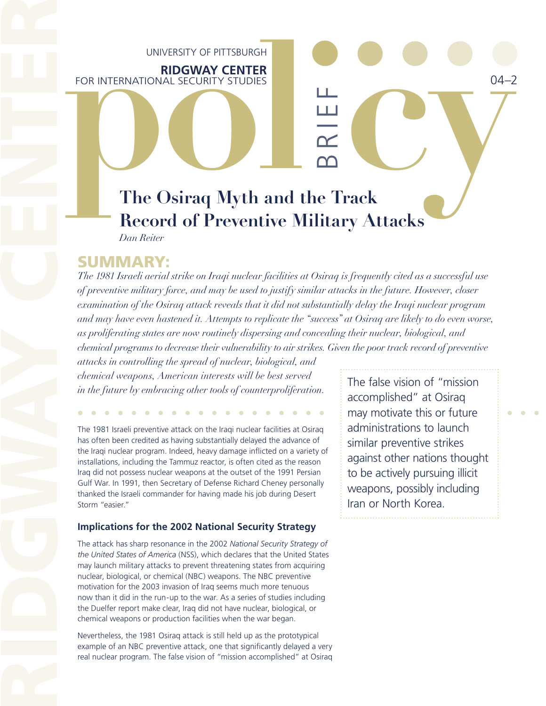# UNIVERSITY OF PITTSBURGH

**RIDGWAY CENTER** FOR INTERNATIONAL SECURITY STUDIES

# UNIVERSITY OF PITTSBURGH<br>
FOR INTERNATIONAL SECURITY STUDIES<br>
The Osiraq Myth and the Track **The Osiraq Myth and the Track Record of Preventive Military Attacks** *Dan Reiter*

BR I EF

*The 1981 Israeli aerial strike on Iraqi nuclear facilities at Osiraq is frequently cited as a successful use of preventive military force, and may be used to justify similar attacks in the future. However, closer examination of the Osiraq attack reveals that it did not substantially delay the Iraqi nuclear program and may have even hastened it. Attempts to replicate the "success" at Osiraq are likely to do even worse, as proliferating states are now routinely dispersing and concealing their nuclear, biological, and chemical programs to decrease their vulnerability to air strikes. Given the poor track record of preventive* 

*attacks in controlling the spread of nuclear, biological, and chemical weapons, American interests will be best served in the future by embracing other tools of counterproliferation.*

The 1981 Israeli preventive attack on the Iraqi nuclear facilities at Osiraq has often been credited as having substantially delayed the advance of the Iraqi nuclear program. Indeed, heavy damage inflicted on a variety of installations, including the Tammuz reactor, is often cited as the reason Iraq did not possess nuclear weapons at the outset of the 1991 Persian Gulf War. In 1991, then Secretary of Defense Richard Cheney personally thanked the Israeli commander for having made his job during Desert Storm "easier."

## **Implications for the 2002 National Security Strategy**

UNIVERNATIONA<br>
FOR INTERNATIONA<br>
RECOTE<br>
RECOTE<br>
DERECOTE<br>
DERECOTE<br>
DERECOTE<br>
DERECOTE<br>
SUMMARY:<br>
The 1981 Israeli aerial<br>
of preventive military is described as a prolificantly attack<br>
are prolificantly attack to contro The attack has sharp resonance in the 2002 *National Security Strategy of the United States of America* (NSS), which declares that the United States may launch military attacks to prevent threatening states from acquiring nuclear, biological, or chemical (NBC) weapons. The NBC preventive motivation for the 2003 invasion of Iraq seems much more tenuous now than it did in the run-up to the war. As a series of studies including the Duelfer report make clear, Iraq did not have nuclear, biological, or chemical weapons or production facilities when the war began.

Nevertheless, the 1981 Osiraq attack is still held up as the prototypical example of an NBC preventive attack, one that significantly delayed a very real nuclear program. The false vision of "mission accomplished" at Osiraq The false vision of "mission accomplished" at Osiraq may motivate this or future administrations to launch similar preventive strikes against other nations thought to be actively pursuing illicit weapons, possibly including Iran or North Korea.

04–2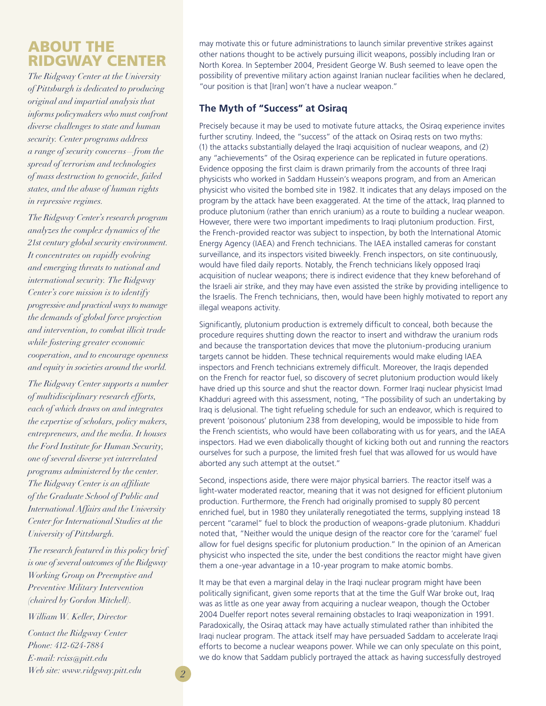# ABOUT THE RIDGWAY CENTER

*The Ridgway Center at the University of Pittsburgh is dedicated to producing original and impartial analysis that informs policymakers who must confront diverse challenges to state and human security. Center programs address a range of security concerns—from the spread of terrorism and technologies of mass destruction to genocide, failed states, and the abuse of human rights in repressive regimes.*

*The Ridgway Center's research program analyzes the complex dynamics of the 21st century global security environment. It concentrates on rapidly evolving and emerging threats to national and international security. The Ridgway Center's core mission is to identify progressive and practical ways to manage the demands of global force projection and intervention, to combat illicit trade while fostering greater economic cooperation, and to encourage openness and equity in societies around the world.*

*The Ridgway Center supports a number of multidisciplinary research efforts, each of which draws on and integrates the expertise of scholars, policy makers, entrepreneurs, and the media. It houses the Ford Institute for Human Security, one of several diverse yet interrelated programs administered by the center. The Ridgway Center is an affiliate of the Graduate School of Public and International Affairs and the University Center for International Studies at the University of Pittsburgh.*

*The research featured in this policy brief is one of several outcomes of the Ridgway Working Group on Preemptive and Preventive Military Intervention (chaired by Gordon Mitchell).*

*William W. Keller, Director*

*Contact the Ridgway Center Phone: 412-624-7884 E-mail: rciss@pitt.edu Web site: www.ridgway.pitt.edu 2* may motivate this or future administrations to launch similar preventive strikes against other nations thought to be actively pursuing illicit weapons, possibly including Iran or North Korea. In September 2004, President George W. Bush seemed to leave open the possibility of preventive military action against Iranian nuclear facilities when he declared, "our position is that [Iran] won't have a nuclear weapon."

## **The Myth of "Success" at Osiraq**

Precisely because it may be used to motivate future attacks, the Osiraq experience invites further scrutiny. Indeed, the "success" of the attack on Osiraq rests on two myths: (1) the attacks substantially delayed the Iraqi acquisition of nuclear weapons, and (2) any "achievements" of the Osiraq experience can be replicated in future operations. Evidence opposing the first claim is drawn primarily from the accounts of three Iraqi physicists who worked in Saddam Hussein's weapons program, and from an American physicist who visited the bombed site in 1982. It indicates that any delays imposed on the program by the attack have been exaggerated. At the time of the attack, Iraq planned to produce plutonium (rather than enrich uranium) as a route to building a nuclear weapon. However, there were two important impediments to Iraqi plutonium production. First, the French-provided reactor was subject to inspection, by both the International Atomic Energy Agency (IAEA) and French technicians. The IAEA installed cameras for constant surveillance, and its inspectors visited biweekly. French inspectors, on site continuously, would have filed daily reports. Notably, the French technicians likely opposed Iraqi acquisition of nuclear weapons; there is indirect evidence that they knew beforehand of the Israeli air strike, and they may have even assisted the strike by providing intelligence to the Israelis. The French technicians, then, would have been highly motivated to report any illegal weapons activity.

Significantly, plutonium production is extremely difficult to conceal, both because the procedure requires shutting down the reactor to insert and withdraw the uranium rods and because the transportation devices that move the plutonium-producing uranium targets cannot be hidden. These technical requirements would make eluding IAEA inspectors and French technicians extremely difficult. Moreover, the Iraqis depended on the French for reactor fuel, so discovery of secret plutonium production would likely have dried up this source and shut the reactor down. Former Iraqi nuclear physicist Imad Khadduri agreed with this assessment, noting, "The possibility of such an undertaking by Iraq is delusional. The tight refueling schedule for such an endeavor, which is required to prevent 'poisonous' plutonium 238 from developing, would be impossible to hide from the French scientists, who would have been collaborating with us for years, and the IAEA inspectors. Had we even diabolically thought of kicking both out and running the reactors ourselves for such a purpose, the limited fresh fuel that was allowed for us would have aborted any such attempt at the outset."

Second, inspections aside, there were major physical barriers. The reactor itself was a light-water moderated reactor, meaning that it was not designed for efficient plutonium production. Furthermore, the French had originally promised to supply 80 percent enriched fuel, but in 1980 they unilaterally renegotiated the terms, supplying instead 18 percent "caramel" fuel to block the production of weapons-grade plutonium. Khadduri noted that, "Neither would the unique design of the reactor core for the 'caramel' fuel allow for fuel designs specific for plutonium production." In the opinion of an American physicist who inspected the site, under the best conditions the reactor might have given them a one-year advantage in a 10-year program to make atomic bombs.

It may be that even a marginal delay in the Iraqi nuclear program might have been politically significant, given some reports that at the time the Gulf War broke out, Iraq was as little as one year away from acquiring a nuclear weapon, though the October 2004 Duelfer report notes several remaining obstacles to Iraqi weaponization in 1991. Paradoxically, the Osiraq attack may have actually stimulated rather than inhibited the Iraqi nuclear program. The attack itself may have persuaded Saddam to accelerate Iraqi efforts to become a nuclear weapons power. While we can only speculate on this point, we do know that Saddam publicly portrayed the attack as having successfully destroyed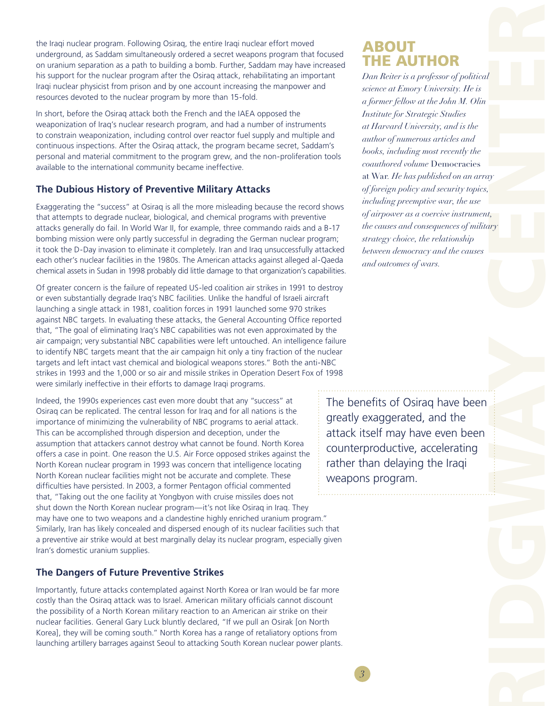the Iraqi nuclear program. Following Osiraq, the entire Iraqi nuclear effort moved underground, as Saddam simultaneously ordered a secret weapons program that focused on uranium separation as a path to building a bomb. Further, Saddam may have increased his support for the nuclear program after the Osiraq attack, rehabilitating an important Iraqi nuclear physicist from prison and by one account increasing the manpower and resources devoted to the nuclear program by more than 15-fold.

In short, before the Osiraq attack both the French and the IAEA opposed the weaponization of Iraq's nuclear research program, and had a number of instruments to constrain weaponization, including control over reactor fuel supply and multiple and continuous inspections. After the Osiraq attack, the program became secret, Saddam's personal and material commitment to the program grew, and the non-proliferation tools available to the international community became ineffective.

### **The Dubious History of Preventive Military Attacks**

Exaggerating the "success" at Osiraq is all the more misleading because the record shows that attempts to degrade nuclear, biological, and chemical programs with preventive attacks generally do fail. In World War II, for example, three commando raids and a B-17 bombing mission were only partly successful in degrading the German nuclear program; it took the D-Day invasion to eliminate it completely. Iran and Iraq unsuccessfully attacked each other's nuclear facilities in the 1980s. The American attacks against alleged al-Qaeda chemical assets in Sudan in 1998 probably did little damage to that organization's capabilities.

Of greater concern is the failure of repeated US-led coalition air strikes in 1991 to destroy or even substantially degrade Iraq's NBC facilities. Unlike the handful of Israeli aircraft launching a single attack in 1981, coalition forces in 1991 launched some 970 strikes against NBC targets. In evaluating these attacks, the General Accounting Office reported that, "The goal of eliminating Iraq's NBC capabilities was not even approximated by the air campaign; very substantial NBC capabilities were left untouched. An intelligence failure to identify NBC targets meant that the air campaign hit only a tiny fraction of the nuclear targets and left intact vast chemical and biological weapons stores." Both the anti-NBC strikes in 1993 and the 1,000 or so air and missile strikes in Operation Desert Fox of 1998 were similarly ineffective in their efforts to damage Iraqi programs.

Indeed, the 1990s experiences cast even more doubt that any "success" at Osiraq can be replicated. The central lesson for Iraq and for all nations is the importance of minimizing the vulnerability of NBC programs to aerial attack. This can be accomplished through dispersion and deception, under the assumption that attackers cannot destroy what cannot be found. North Korea offers a case in point. One reason the U.S. Air Force opposed strikes against the North Korean nuclear program in 1993 was concern that intelligence locating North Korean nuclear facilities might not be accurate and complete. These difficulties have persisted. In 2003, a former Pentagon official commented that, "Taking out the one facility at Yongbyon with cruise missiles does not shut down the North Korean nuclear program—it's not like Osiraq in Iraq. They may have one to two weapons and a clandestine highly enriched uranium program." Similarly, Iran has likely concealed and dispersed enough of its nuclear facilities such that a preventive air strike would at best marginally delay its nuclear program, especially given Iran's domestic uranium supplies.

#### **The Dangers of Future Preventive Strikes**

Importantly, future attacks contemplated against North Korea or Iran would be far more costly than the Osiraq attack was to Israel. American military officials cannot discount the possibility of a North Korean military reaction to an American air strike on their nuclear facilities. General Gary Luck bluntly declared, "If we pull an Osirak [on North Korea], they will be coming south." North Korea has a range of retaliatory options from launching artillery barrages against Seoul to attacking South Korean nuclear power plants.

# ABOUT THE AUTHOR

RIDGWAY CENTER *Dan Reiter is a professor of political science at Emory University. He is a former fellow at the John M. Olin Institute for Strategic Studies at Harvard University, and is the author of numerous articles and books, including most recently the coauthored volume* Democracies at War*. He has published on an array of foreign policy and security topics, including preemptive war, the use of airpower as a coercive instrument, the causes and consequences of military strategy choice, the relationship between democracy and the causes and outcomes of wars.*

The benefits of Osiraq have been greatly exaggerated, and the attack itself may have even been counterproductive, accelerating rather than delaying the Iraqi weapons program.

*3*